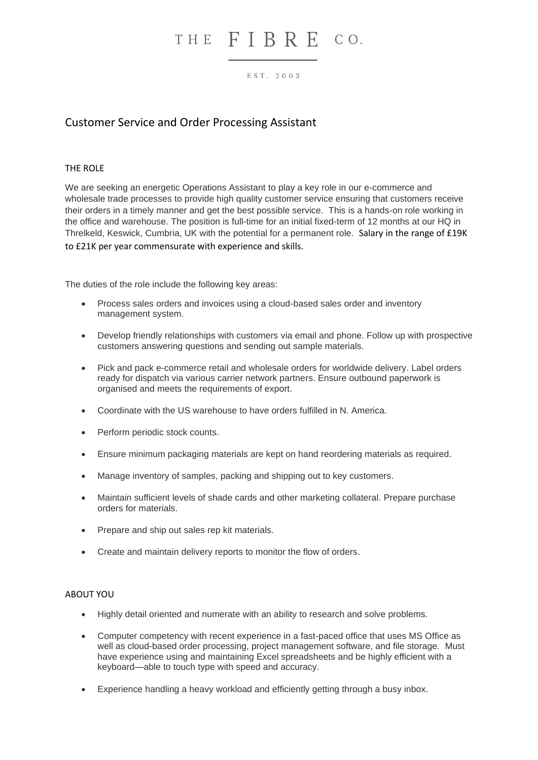## THE FIBRE CO.

#### EST. 2003

### Customer Service and Order Processing Assistant

### THE ROLE

We are seeking an energetic Operations Assistant to play a key role in our e-commerce and wholesale trade processes to provide high quality customer service ensuring that customers receive their orders in a timely manner and get the best possible service. This is a hands-on role working in the office and warehouse. The position is full-time for an initial fixed-term of 12 months at our HQ in Threlkeld, Keswick, Cumbria, UK with the potential for a permanent role. Salary in the range of £19K to £21K per year commensurate with experience and skills.

The duties of the role include the following key areas:

- Process sales orders and invoices using a cloud-based sales order and inventory management system.
- Develop friendly relationships with customers via email and phone. Follow up with prospective customers answering questions and sending out sample materials.
- Pick and pack e-commerce retail and wholesale orders for worldwide delivery. Label orders ready for dispatch via various carrier network partners. Ensure outbound paperwork is organised and meets the requirements of export.
- Coordinate with the US warehouse to have orders fulfilled in N. America.
- Perform periodic stock counts.
- Ensure minimum packaging materials are kept on hand reordering materials as required.
- Manage inventory of samples, packing and shipping out to key customers.
- Maintain sufficient levels of shade cards and other marketing collateral. Prepare purchase orders for materials.
- Prepare and ship out sales rep kit materials.
- Create and maintain delivery reports to monitor the flow of orders.

#### ABOUT YOU

- Highly detail oriented and numerate with an ability to research and solve problems.
- Computer competency with recent experience in a fast-paced office that uses MS Office as well as cloud-based order processing, project management software, and file storage. Must have experience using and maintaining Excel spreadsheets and be highly efficient with a keyboard—able to touch type with speed and accuracy.
- Experience handling a heavy workload and efficiently getting through a busy inbox.